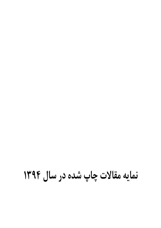# نمایه مقالات چاپ شده در سال ۱۲۹۲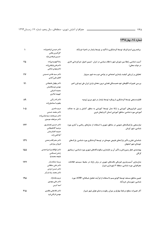## شماره ١٤، بهار١٣٩٤

| ١   | دكتر عيسى ابراهيمزاده<br>گل آفرین ملکی<br>حسین فرهادی نژاد                    | برنامهریزی استراتژیک توسعهٔ گردشگری با تأکید بر توسعهٔ پایدار در ناحیهٔ خرمآباد                                                           |
|-----|-------------------------------------------------------------------------------|-------------------------------------------------------------------------------------------------------------------------------------------|
| 25  | رضا الهويرديزاده<br>دكترعلى وليقلىزاده<br>دكترمهدي صانعى                      | آسیب شناسی رابطهٔ بین شورای شهر با نظام سیاسی در ایران (تبیین اصول تمرکززدایی اداری<br>در دولت محلی)                                      |
| ۴۷  | دکتر سید هادی حسینی<br>كاظم على آبادى                                         | تحلیلی بر ارزیابی کیفیت پایداری اجتماعی در نواحی دو و سه شهر سبزوار                                                                       |
| ۷۱  | دكتر بهلول عليجاني<br>مهدى دوستكاميان<br>سعيده اشرفي<br>فهيمه شاكرى           | بررسی تغییرات الگوهای خود همبستگی فضایی درون دههای بارش ایران طی نیم قرن اخیر                                                             |
| 88  | دكتر نادر زالى<br>يعقوب اسماعيلزاده                                           | قابلیتسنجی توسعهٔ گردشگری با رویکرد توسعهٔ پایدار در شهر مرزی ارومیه                                                                      |
| ۱۰۵ | مريم سامرى<br>دكتر محمد حسنى<br>دكتر ميرمحمد سيدعباسزاده<br>دكتر ميرنجف موسوى | تبیین نابرابریهای آموزشی و ارائهٔ مدل توسعهٔ آموزشی به منظور آمایش و نیل به عدالت<br>آموزشی مورد شناسی: مناطق آموزشی استان آذربایجان غربی |
| ۱۲۳ | دكتر حسين غضنفرپور<br>مرضيه آقاعليخانى<br>حميده افشارمنش<br>آيلا قلى زاده     | نیازسنجی پارکینگهای عمومی در مناطق شهری با استفاده از مدلهای ریاضی و آماری مورد<br>شناسی: شهر کرمان                                       |
| ۱۳۹ | دكتر صفر قائدرحمتى<br>فروزان پیرایش                                           | شناسایی نقش و تأثیر پارکھای طبیعی حومهای در توسعهٔ گردشگری مورد شناسی: پارکھای<br>حومهای شهر اصفهان                                       |
| ۱۵۵ | دكتر ابوالقاسم اميراحمدى<br>رامش تمسکنی<br>مليحه محمدنيا                      | پهنهبندی خطر زمینرانش و تأثیر آن بر ناپایداری سکونتگاههای شهری مورد شناسی: زیباشهر<br>گرگان                                               |
| 177 | پریسا مشکسار<br>دکتر علی سلطانی<br>دكتر حسن ايزدى<br>دکتر محمد رضا بذرگر      | مدلسازی آسیبپذیری فیزیکی بافتهای شهری در برابر زلزله در محیط سیستم اطلاعات<br>جغرافیایی مورد شناسی: منطقهٔ ۳ شهرداری شیراز                |
| ۱۹۵ | مريم نيکنژاد<br>دکتر علی مهدوی<br>امید کرمی                                   | تعيين مناطق مستعد توسعهٔ اکوتوريسم با استفاده از فر آيند تحليل شبکهاي (ANP) مورد<br>شناسی: شهرستان خرم آباد                               |
| ۲۱۵ | دکتر غلامعلی مظفری<br>مهدی نارنگی فرد                                         | آثار تغییرات سطح دریاچهٔ مهارلو بر میزان رطوبت و دمای هوای شهر شیراز                                                                      |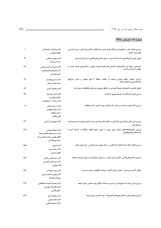#### شماره ۱۵، تابستان ۱۳۹٤

| ١    | دكتر علىاكبر عنابستانى<br>فاطمه فئوادى                                                           | بررسی عوامل مؤثر بر تحقق پذیری اهداف طرح صدور سند مالکیت اماکن روســتایی  مــورد شناســی:<br>شهرستان دامغان    |
|------|--------------------------------------------------------------------------------------------------|----------------------------------------------------------------------------------------------------------------|
| ۱۷   | دكتر بهروز سبحاني<br>سارا كريم زاده                                                              | تعیین نواحی آگروکلیمایی کشت گندم دیم بر مبنای شاخصهای اقلیمی در استان کردستان                                  |
| ٣٣   | دکتر علی اکبر ناجی میدانی<br>دكتر هاروتيان هاروتيانيان<br>امير فرهاديان                          | مدلسازی روابط بین شاخصهای شناسایی بافتهای فرسوده شهری و شاخصهای توسعهٔ پایدار در<br>اطراف حرم امام رضا (ع)     |
| ۴۹   | دكتر حسين نظم فر<br>سميه روشن رودى                                                               | ارزیابی سنجش سطح پایداری توسعه در محلات منطقهٔ ۹ شهر مشهد بر اساس مدلهای<br>سلسلهمراتبى و تحليل شبكه           |
| ۶۹   | دكتر محمود اكبرى                                                                                 | تحلیل فضایی شاخصهای توسعهٔ آموزشی در مناطق شهری و روستایی کهگیلویه و بویراحمد                                  |
| ۸۵   | دكتر احمد پوراحمد<br>فرانک بهدوست<br>دکتر رحمت ا فروهودی                                         | بررسی نقش گردشگری در توسعهٔ شهری کرمانشاه                                                                      |
| ۱۰۱  | دکتر حسین پناهی<br>د کتر داوود بهبودی<br>حميد ذوالقدر<br>على ذوالقدر                             | بررسی تأثیر کیفیت خدمات بر رضایت گردشگران مورد شناسی: گنبد سلطانیه                                             |
| ۱۱۷  | دكتر بهروز قرني آراني                                                                            | بررسی کمی نقش برنامهریزی مشارکتی در کاهش فقر روستایی مورد شناسی: شهرســتان فیروزکــوه،<br>روستای لزور          |
| ۱۳۷  | دكتر شهرام بهرامى<br>دكتر سيد محمود فاطمى عقدا<br>كاظم بهرامى، محمد معتمدى راد<br>سیما پور هاشمی | ارزیابی مخروطهافکنههای شمال شرق ریوند به عنوان منابع بالقوه سنگدانه و ارتباط آنها با<br>فرايندهاى ژئومورفولوژى |
| ۱۵۵  | آمنه جورى<br>دكتر رحيم سرور<br>جاويد منيري                                                       | بررسی امکان ایجاد پیادهراههای گردشگری در مراکز شهری موردشناسی: مرکز شهر زنجان                                  |
| ۱۷۷  | دکتر سید هادی زرقانی<br>دکتر امید علی خوارزمی<br>ليلا جوهري                                      | ارزیابی شاخصهای فضایی-کالبدی شهر مشهد در راستای تبدیلشدن به شهر دوستدار سالمند                                 |
| 19 Y | دکتر احمد نوحه گر<br>دکتر بهمن جباریان امیری<br>روشنك افراخته                                    | تحلیل کاربری سرزمین در بخش مرکزی گیلان با رویکرد اکولوژی سیمای سرزمین                                          |
| ۲۱۵  | دكتر عليرضا خواجه شاهكوهي<br>دكتر غلامرضا خوش فر<br>اعظم نگاری                                   | بررسی میزان مشارکت شهروندان در مدیریت پسماند خانگی مورد شناسی: شهر مشهد                                        |
| ۲۳۳  | جبار عليزاده اصل<br>دكتر اصغر ضرابي<br>دکتر مسعود تقوایی                                         | ارزیابی عوامل مؤثر بر تحقق شهرهای الکترونیک ًمورد شناسی: شهر ارومیه                                            |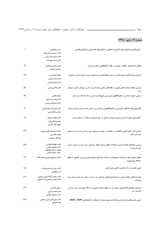## شماره ١٦، پاییز ١٣٩٤

| ١   | حسن جواهري<br>دکتر حسین حاتمی نژاد      | جداییگزینی اجتماعی شهر کامیاران؛ تحلیلی بر شاخصهای ناهمسانی و انزواگرایی فضایی                     |
|-----|-----------------------------------------|----------------------------------------------------------------------------------------------------|
|     | دکتر کرامت اله زیاری                    |                                                                                                    |
|     | دكتر احمد پوراحمد                       |                                                                                                    |
| ۱۹  | دكتر مجتبى رفيعيان<br>مرتضى شعبانى      | تحلیل شاخصهای خلاقیت شهری در نظام سکونتگاهی استان مازندران                                         |
|     |                                         |                                                                                                    |
| ۳۵  | سجاد فردوسی                             | ارزیابی توسعه کالبدی شهر دامغان بر اساس تکنیکهای درجه تجمع، ضریب جینی و ضریب آنتروپی               |
|     | دکتر تارا سمیری                         |                                                                                                    |
|     | دکتر ایمان طبسی                         |                                                                                                    |
| ۵۵  | دکتر هادی ویسی                          | ارزیابی عملکرد دولت محلی شهری در نظامهای سیاسی متمرکز مورد شناسی: شوراهای اسلامی شــهرهای<br>ايران |
| ۷۵  | سعید نجفی                               | ارزیابی کیفیت زندگی در سکونتگاههای غیررسمی شهرها مورد شناسی: محلهٔ اسلامآباد شهر زنجان             |
|     | دكتر محسن احدنژاد                       |                                                                                                    |
|     | دکتر اسماعیل دویران                     |                                                                                                    |
| ۹۱  | دکتر علی اکبر عنابستانی                 | مکان بابی بهینهٔ فضاهای آموزشی در سکونتگاههای روستایی مورد شناسی: نقاط روستایی شهرستان خواف        |
|     | مهدی جوانشیری                           |                                                                                                    |
| ۱۱۱ | د کتر کمال امیدوار                      | آشکارسازی تغییرات کاربری اراضی و پوشش گیاهی در شهر یاسوج با استفاده از سنجش از دور                 |
|     | مهدی نارنگی فرد                         |                                                                                                    |
|     | حجت الله عباسى                          |                                                                                                    |
| ۱۲۷ | دكتر ام السلمه بابايي فيني              | ارزیابی نقش دفاتر فناوری اطلاعات و ارتباطات در توسعه روستایی مـورد شناسـی: بخــش قـره پشــتلوی     |
|     | مجيد حضرتى                              | شهرستان زنجان                                                                                      |
|     | ولى الله ربيعي فر                       |                                                                                                    |
| ۱۴۵ | دكتر جوادبذرافشان                       | بررسی پیامدهای هدفمندسازی یارانهها در الگوی مصرف خانوار روستایی مـورد شناسـی: بخــش مرکــزی        |
|     | دكتر محمود مرادى<br>بهروز حسنى مهموئى   | شهرستان بيرجند                                                                                     |
|     | سیده سمیه خاتمی                         |                                                                                                    |
| ۱۶۱ | دکتر اسماعیل نصیری هنده خاله            | تحلیل عوامل مؤثر بر مشارکت شهروندان در فرایند استراتژی توسعهٔ شهری (بررسی تطبیقی منــاطق           |
|     |                                         | سەگانۀ شهر قزوين)                                                                                  |
| ۱۸۱ | دكتر سيد رضا حسينزاده                   | تعیین ظرفیت برد گردشگری ساحلی جزیره کیش                                                            |
|     | آذر عرفانيان                            |                                                                                                    |
| ۲۰۱ | دكتر سعيد رضا اكبريان رونيزي            | هوش فرهنگی جامعه میزبان و تـوسعه گردشگری روستایی مورد شناسی: منطقه رودبار قصران (شهرســتان         |
|     | دكتر مهدى رمضان زاده لسبوئى             | شميرانات)                                                                                          |
| ۲۱۳ | رسول بابانسب                            | گسترش شهرهای الکترونیکی و نقش آن در ارتقای خدمات شهری از دیدگاه شهروندان مـورد شناســی:            |
|     | دكتر اصغر ضرابي                         | كلانشهر تبريز                                                                                      |
|     | دکتر مسعود تقوایی                       |                                                                                                    |
| ۲۳۳ | دکتر علی اکبر امین بیدختی<br>نوید شریفی | تدوین راهبردهای باززنده سازی بافت قدیم شهر سمنان با استفاده از تکنیکهای FAHP و SWOT                |